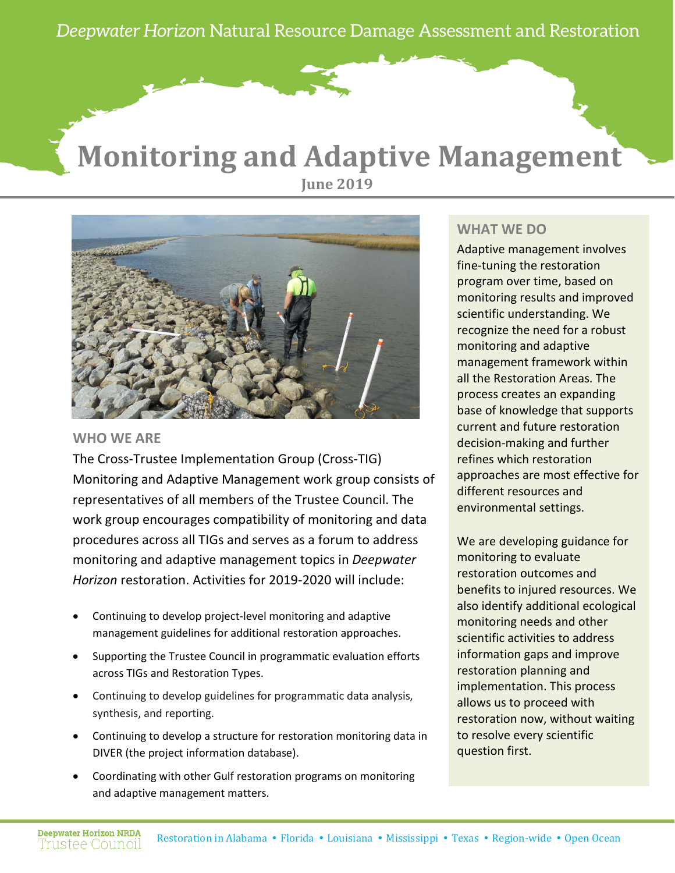*Deepwater Horizon* Natural Resource Damage Assessment and Restoration

# **Monitoring and Adaptive Management June 2019**



### **WHO WE ARE**

The Cross-Trustee Implementation Group (Cross-TIG) Monitoring and Adaptive Management work group consists of representatives of all members of the Trustee Council. The work group encourages compatibility of monitoring and data procedures across all TIGs and serves as a forum to address monitoring and adaptive management topics in *Deepwater Horizon* restoration. Activities for 2019-2020 will include:

- Continuing to develop project-level monitoring and adaptive management guidelines for additional restoration approaches.
- Supporting the Trustee Council in programmatic evaluation efforts across TIGs and Restoration Types.
- Continuing to develop guidelines for programmatic data analysis, synthesis, and reporting.
- Continuing to develop a structure for restoration monitoring data in DIVER (the project information database).
- Coordinating with other Gulf restoration programs on monitoring and adaptive management matters.

### **WHAT WE DO**

Adaptive management involves fine-tuning the restoration program over time, based on monitoring results and improved scientific understanding. We recognize the need for a robust monitoring and adaptive management framework within all the Restoration Areas. The process creates an expanding base of knowledge that supports current and future restoration decision-making and further refines which restoration approaches are most effective for different resources and environmental settings.

We are developing guidance for monitoring to evaluate restoration outcomes and benefits to injured resources. We also identify additional ecological monitoring needs and other scientific activities to address information gaps and improve restoration planning and implementation. This process allows us to proceed with restoration now, without waiting to resolve every scientific question first.